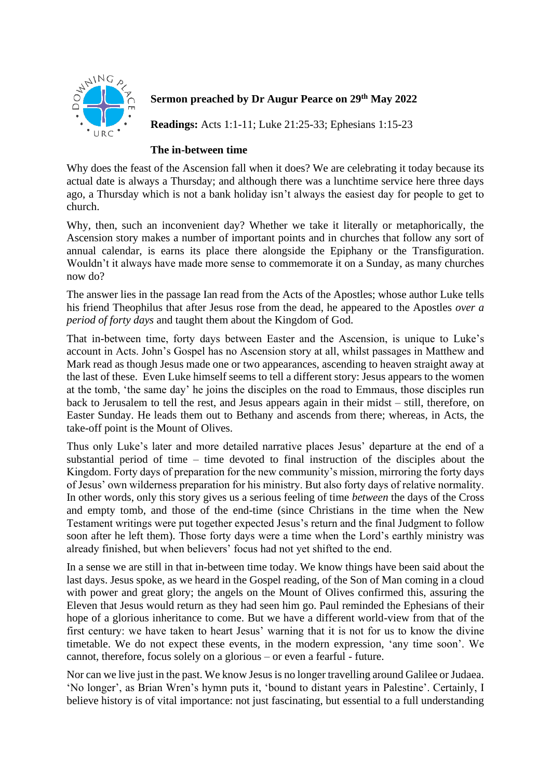

## **Sermon preached by Dr Augur Pearce on 29th May 2022**

**Readings:** Acts 1:1-11; Luke 21:25-33; Ephesians 1:15-23

## **The in-between time**

Why does the feast of the Ascension fall when it does? We are celebrating it today because its actual date is always a Thursday; and although there was a lunchtime service here three days ago, a Thursday which is not a bank holiday isn't always the easiest day for people to get to church.

Why, then, such an inconvenient day? Whether we take it literally or metaphorically, the Ascension story makes a number of important points and in churches that follow any sort of annual calendar, is earns its place there alongside the Epiphany or the Transfiguration. Wouldn't it always have made more sense to commemorate it on a Sunday, as many churches now do?

The answer lies in the passage Ian read from the Acts of the Apostles; whose author Luke tells his friend Theophilus that after Jesus rose from the dead, he appeared to the Apostles *over a period of forty days* and taught them about the Kingdom of God.

That in-between time, forty days between Easter and the Ascension, is unique to Luke's account in Acts. John's Gospel has no Ascension story at all, whilst passages in Matthew and Mark read as though Jesus made one or two appearances, ascending to heaven straight away at the last of these. Even Luke himself seems to tell a different story: Jesus appears to the women at the tomb, 'the same day' he joins the disciples on the road to Emmaus, those disciples run back to Jerusalem to tell the rest, and Jesus appears again in their midst – still, therefore, on Easter Sunday. He leads them out to Bethany and ascends from there; whereas, in Acts, the take-off point is the Mount of Olives.

Thus only Luke's later and more detailed narrative places Jesus' departure at the end of a substantial period of time – time devoted to final instruction of the disciples about the Kingdom. Forty days of preparation for the new community's mission, mirroring the forty days of Jesus' own wilderness preparation for his ministry. But also forty days of relative normality. In other words, only this story gives us a serious feeling of time *between* the days of the Cross and empty tomb, and those of the end-time (since Christians in the time when the New Testament writings were put together expected Jesus's return and the final Judgment to follow soon after he left them). Those forty days were a time when the Lord's earthly ministry was already finished, but when believers' focus had not yet shifted to the end.

In a sense we are still in that in-between time today. We know things have been said about the last days. Jesus spoke, as we heard in the Gospel reading, of the Son of Man coming in a cloud with power and great glory; the angels on the Mount of Olives confirmed this, assuring the Eleven that Jesus would return as they had seen him go. Paul reminded the Ephesians of their hope of a glorious inheritance to come. But we have a different world-view from that of the first century: we have taken to heart Jesus' warning that it is not for us to know the divine timetable. We do not expect these events, in the modern expression, 'any time soon'. We cannot, therefore, focus solely on a glorious – or even a fearful - future.

Nor can we live just in the past. We know Jesus is no longer travelling around Galilee or Judaea. 'No longer', as Brian Wren's hymn puts it, 'bound to distant years in Palestine'. Certainly, I believe history is of vital importance: not just fascinating, but essential to a full understanding